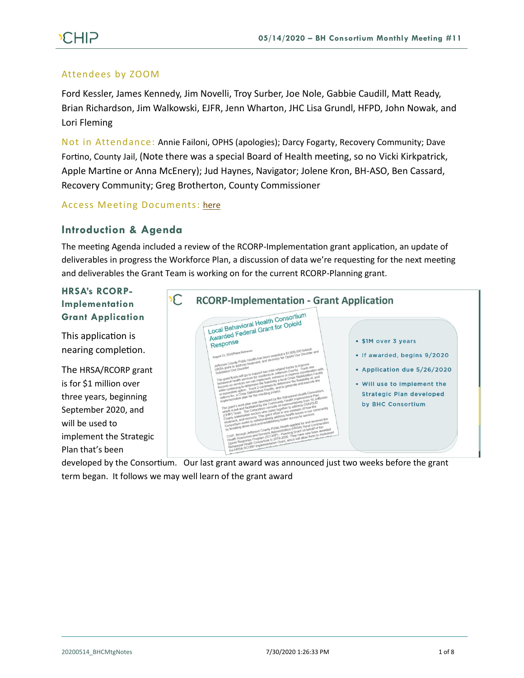### Attendees by ZOOM

Ford Kessler, James Kennedy, Jim Novelli, Troy Surber, Joe Nole, Gabbie Caudill, Matt Ready, Brian Richardson, Jim Walkowski, EJFR, Jenn Wharton, JHC Lisa Grundl, HFPD, John Nowak, and Lori Fleming

Not in Attendance: Annie Failoni, OPHS (apologies); Darcy Fogarty, Recovery Community; Dave Fortino, County Jail, (Note there was a special Board of Health meeting, so no Vicki Kirkpatrick, Apple Martine or Anna McEnery); Jud Haynes, Navigator; Jolene Kron, BH-ASO, Ben Cassard, Recovery Community; Greg Brotherton, County Commissioner

### Access Meeting Documents: [here](https://www.behealthyjefferson.com/copy-of-meeting-minutes)

## **Introduction & Agenda**

The meeting Agenda included a review of the RCORP-Implementation grant application, an update of deliverables in progress the Workforce Plan, a discussion of data we're requesting for the next meeting and deliverables the Grant Team is working on for the current RCORP-Planning grant.

# **HRSA's RCORP-Implementation Grant Application**

This application is nearing completion.

The HRSA/RCORP grant is for \$1 million over three years, beginning September 2020, and will be used to implement the Strategic Plan that's been



developed by the Consortium. Our last grant award was announced just two weeks before the grant term began. It follows we may well learn of the grant award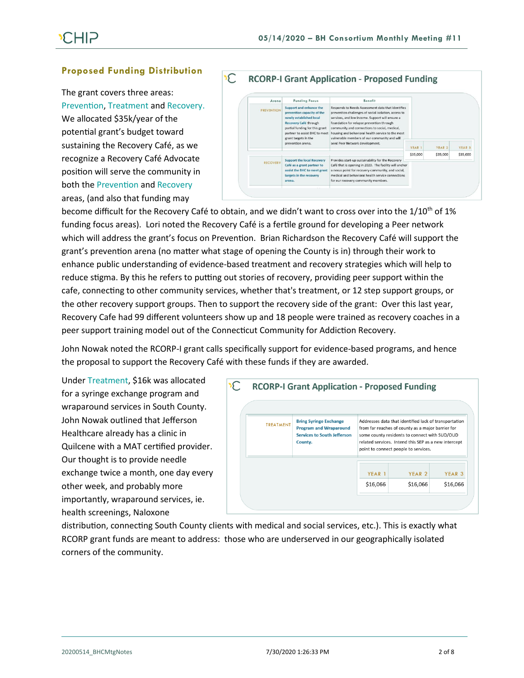### **Proposed Funding Distribution**

The grant covers three areas: Prevention, Treatment and Recovery. We allocated \$35k/year of the potential grant's budget toward sustaining the Recovery Café, as we recognize a Recovery Café Advocate position will serve the community in both the Prevention and Recovery areas, (and also that funding may



become difficult for the Recovery Café to obtain, and we didn't want to cross over into the 1/10<sup>th</sup> of 1% funding focus areas). Lori noted the Recovery Café is a fertile ground for developing a Peer network which will address the grant's focus on Prevention. Brian Richardson the Recovery Café will support the grant's prevention arena (no matter what stage of opening the County is in) through their work to enhance public understanding of evidence-based treatment and recovery strategies which will help to reduce stigma. By this he refers to putting out stories of recovery, providing peer support within the cafe, connecting to other community services, whether that's treatment, or 12 step support groups, or the other recovery support groups. Then to support the recovery side of the grant: Over this last year, Recovery Cafe had 99 different volunteers show up and 18 people were trained as recovery coaches in a peer support training model out of the Connecticut Community for Addiction Recovery.

John Nowak noted the RCORP-I grant calls specifically support for evidence-based programs, and hence the proposal to support the Recovery Café with these funds if they are awarded.

Under Treatment, \$16k was allocated for a syringe exchange program and wraparound services in South County. John Nowak outlined that Jefferson Healthcare already has a clinic in Quilcene with a MAT certified provider. Our thought is to provide needle exchange twice a month, one day every other week, and probably more importantly, wraparound services, ie. health screenings, Naloxone

| <b>TREATMENT</b> | <b>Bring Syringe Exchange</b><br><b>Program and Wraparound</b><br><b>Services to South Jefferson</b><br>County. | Addresses data that identified lack of transportation<br>from far reaches of county as a major barrier for<br>some county residents to connect with SUD/OUD<br>related services. Intend this SEP as a new intercept<br>point to connect people to services. |                   |                   |
|------------------|-----------------------------------------------------------------------------------------------------------------|-------------------------------------------------------------------------------------------------------------------------------------------------------------------------------------------------------------------------------------------------------------|-------------------|-------------------|
|                  |                                                                                                                 | YEAR 1                                                                                                                                                                                                                                                      | YEAR <sub>2</sub> | YEAR <sub>3</sub> |
|                  |                                                                                                                 | \$16,066                                                                                                                                                                                                                                                    | \$16,066          | \$16,066          |

distribution, connecting South County clients with medical and social services, etc.). This is exactly what RCORP grant funds are meant to address: those who are underserved in our geographically isolated corners of the community.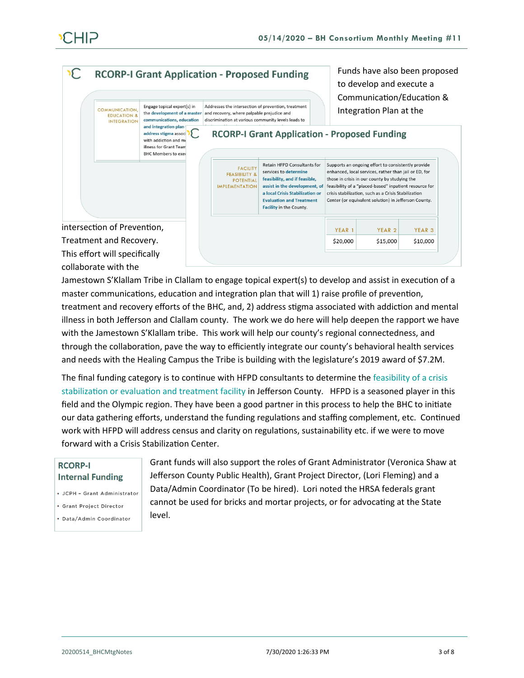

This effort will specifically collaborate with the

Jamestown S'Klallam Tribe in Clallam to engage topical expert(s) to develop and assist in execution of a master communications, education and integration plan that will 1) raise profile of prevention, treatment and recovery efforts of the BHC, and, 2) address stigma associated with addiction and mental illness in both Jefferson and Clallam county. The work we do here will help deepen the rapport we have with the Jamestown S'Klallam tribe. This work will help our county's regional connectedness, and through the collaboration, pave the way to efficiently integrate our county's behavioral health services and needs with the Healing Campus the Tribe is building with the legislature's 2019 award of \$7.2M.

The final funding category is to continue with HFPD consultants to determine the feasibility of a crisis stabilization or evaluation and treatment facility in Jefferson County. HFPD is a seasoned player in this field and the Olympic region. They have been a good partner in this process to help the BHC to initiate our data gathering efforts, understand the funding regulations and staffing complement, etc. Continued work with HFPD will address census and clarity on regulations, sustainability etc. if we were to move forward with a Crisis Stabilization Center.

### **RCORP-I Internal Funding**

- · JCPH Grant Administrator
- Grant Project Director
- · Data/Admin Coordinator

Grant funds will also support the roles of Grant Administrator (Veronica Shaw at Jefferson County Public Health), Grant Project Director, (Lori Fleming) and a Data/Admin Coordinator (To be hired). Lori noted the HRSA federals grant cannot be used for bricks and mortar projects, or for advocating at the State level.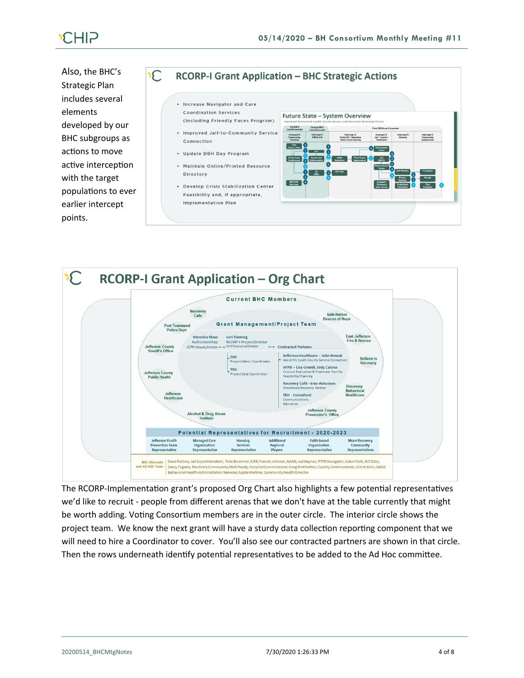Also, the BHC's Strategic Plan includes several elements developed by our BHC subgroups as actions to move active interception with the target populations to ever earlier intercept points.

### $\mathcal{C}$ **RCORP-I Grant Application - BHC Strategic Actions**

- Increase Navigator and Care **Coordination Services**
- . Improved Jail-to-Community Service Connection
- . Update DBH Day Program
- . Maintain Online/Printed Resource Directory
- . Develop Crisis Stabilization Center Feasibility and, if appropriate, **Implementation Plan**





The RCORP-Implementation grant's proposed Org Chart also highlights a few potential representatives we'd like to recruit - people from different arenas that we don't have at the table currently that might be worth adding. Voting Consortium members are in the outer circle. The interior circle shows the project team. We know the next grant will have a sturdy data collection reporting component that we will need to hire a Coordinator to cover. You'll also see our contracted partners are shown in that circle. Then the rows underneath identify potential representatives to be added to the Ad Hoc committee.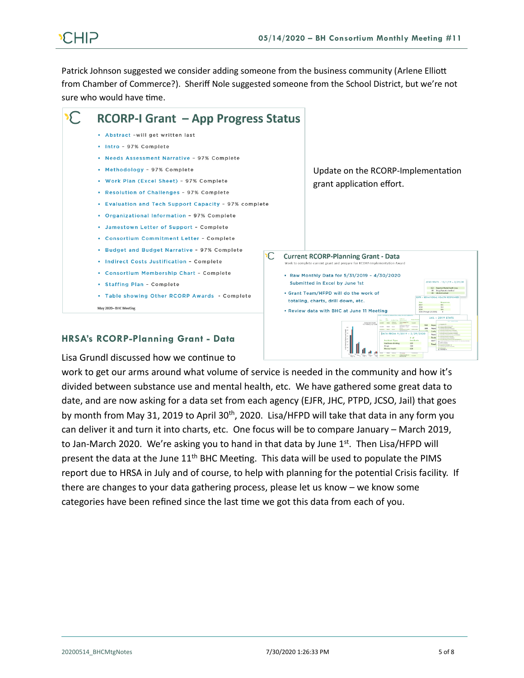# CHIP

Patrick Johnson suggested we consider adding someone from the business community (Arlene Elliott from Chamber of Commerce?). Sheriff Nole suggested someone from the School District, but we're not sure who would have time.



# **HRSA's RCORP-Planning Grant - Data**

Lisa Grundl discussed how we continue to

work to get our arms around what volume of service is needed in the community and how it's divided between substance use and mental health, etc. We have gathered some great data to date, and are now asking for a data set from each agency (EJFR, JHC, PTPD, JCSO, Jail) that goes by month from May 31, 2019 to April 30<sup>th</sup>, 2020. Lisa/HFPD will take that data in any form you can deliver it and turn it into charts, etc. One focus will be to compare January – March 2019, to Jan-March 2020. We're asking you to hand in that data by June  $1<sup>st</sup>$ . Then Lisa/HFPD will present the data at the June  $11<sup>th</sup>$  BHC Meeting. This data will be used to populate the PIMS report due to HRSA in July and of course, to help with planning for the potential Crisis facility. If there are changes to your data gathering process, please let us know – we know some categories have been refined since the last time we got this data from each of you.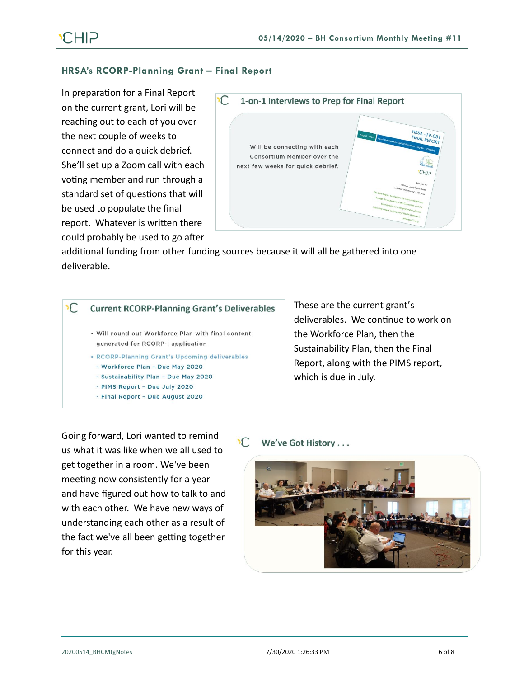# **HRSA's RCORP-Planning Grant – Final Report**

In preparation for a Final Report on the current grant, Lori will be reaching out to each of you over the next couple of weeks to connect and do a quick debrief. She'll set up a Zoom call with each voting member and run through a standard set of questions that will be used to populate the final report. Whatever is written there could probably be used to go after



additional funding from other funding sources because it will all be gathered into one deliverable.

#### $\sqrt{2}$ **Current RCORP-Planning Grant's Deliverables**

- . Will round out Workforce Plan with final content generated for RCORP-I application
- . RCORP-Planning Grant's Upcoming deliverables
- Workforce Plan Due May 2020
- Sustainability Plan Due May 2020
- PIMS Report Due July 2020
- Final Report Due August 2020

These are the current grant's deliverables. We continue to work on the Workforce Plan, then the Sustainability Plan, then the Final Report, along with the PIMS report, which is due in July.

Going forward, Lori wanted to remind us what it was like when we all used to get together in a room. We've been meeting now consistently for a year and have figured out how to talk to and with each other. We have new ways of understanding each other as a result of the fact we've all been getting together for this year.

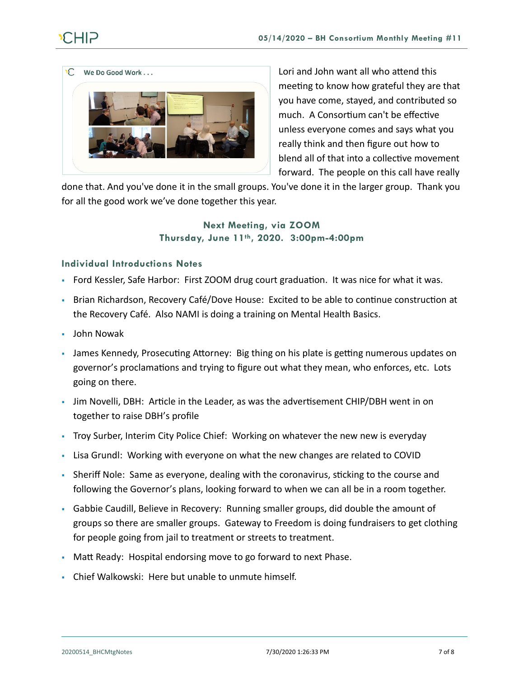

Lori and John want all who attend this meeting to know how grateful they are that you have come, stayed, and contributed so much. A Consortium can't be effective unless everyone comes and says what you really think and then figure out how to blend all of that into a collective movement forward. The people on this call have really

done that. And you've done it in the small groups. You've done it in the larger group. Thank you for all the good work we've done together this year.

# **Next Meeting, via ZOOM Thursday, June 11th, 2020. 3:00pm-4:00pm**

# **Individual Introductions Notes**

- Ford Kessler, Safe Harbor: First ZOOM drug court graduation. It was nice for what it was.
- Brian Richardson, Recovery Café/Dove House: Excited to be able to continue construction at the Recovery Café. Also NAMI is doing a training on Mental Health Basics.
- John Nowak
- James Kennedy, Prosecuting Attorney: Big thing on his plate is getting numerous updates on governor's proclamations and trying to figure out what they mean, who enforces, etc. Lots going on there.
- **•** Jim Novelli, DBH: Article in the Leader, as was the advertisement CHIP/DBH went in on together to raise DBH's profile
- Troy Surber, Interim City Police Chief: Working on whatever the new new is everyday
- Lisa Grundl: Working with everyone on what the new changes are related to COVID
- Sheriff Nole: Same as everyone, dealing with the coronavirus, sticking to the course and following the Governor's plans, looking forward to when we can all be in a room together.
- Gabbie Caudill, Believe in Recovery: Running smaller groups, did double the amount of groups so there are smaller groups. Gateway to Freedom is doing fundraisers to get clothing for people going from jail to treatment or streets to treatment.
- Matt Ready: Hospital endorsing move to go forward to next Phase.
- Chief Walkowski: Here but unable to unmute himself.